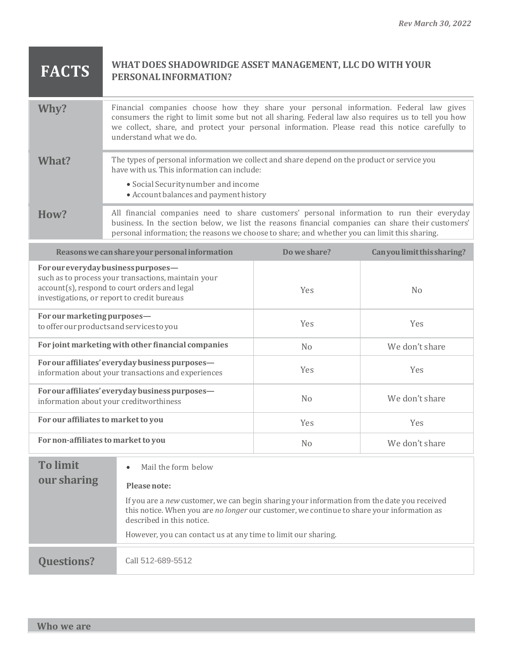## **FACTS WHAT DOES SHADOWRIDGE ASSET MANAGEMENT, LLC DO WITH YOUR PERSONALINFORMATION?**

| Why?  | Financial companies choose how they share your personal information. Federal law gives<br>consumers the right to limit some but not all sharing. Federal law also requires us to tell you how<br>we collect, share, and protect your personal information. Please read this notice carefully to<br>understand what we do. |
|-------|---------------------------------------------------------------------------------------------------------------------------------------------------------------------------------------------------------------------------------------------------------------------------------------------------------------------------|
| What? | The types of personal information we collect and share depend on the product or service you<br>have with us. This information can include:<br>• Social Security number and income<br>• Account balances and payment history                                                                                               |
| How?  | All financial companies need to share customers' personal information to run their everyday<br>business. In the section below, we list the reasons financial companies can share their customers'                                                                                                                         |

personal information; the reasons we choose to share; and whether you can limit this sharing.

| Reasons we can share your personal information                                                                                                                                              | Do we share? | Can you limit this sharing? |
|---------------------------------------------------------------------------------------------------------------------------------------------------------------------------------------------|--------------|-----------------------------|
| For our every day business purposes-<br>such as to process your transactions, maintain your<br>account(s), respond to court orders and legal<br>investigations, or report to credit bureaus | Yes          | N <sub>0</sub>              |
| For our marketing purposes-<br>to offer our products and services to you                                                                                                                    | Yes          | <b>Yes</b>                  |
| For joint marketing with other financial companies                                                                                                                                          | No           | We don't share              |
| For our affiliates' everyday business purposes-<br>information about your transactions and experiences                                                                                      | Yes          | <b>Yes</b>                  |
| For our affiliates' everyday business purposes-<br>information about your creditworthiness                                                                                                  | No           | We don't share              |
| For our affiliates to market to you                                                                                                                                                         | Yes          | <b>Yes</b>                  |
| For non-affiliates to market to you                                                                                                                                                         | No           | We don't share              |

| <b>To limit</b><br>our sharing | Mail the form below<br>$\bullet$<br>Please note:                                                                                                                                                                                                                                        |
|--------------------------------|-----------------------------------------------------------------------------------------------------------------------------------------------------------------------------------------------------------------------------------------------------------------------------------------|
|                                | If you are a new customer, we can begin sharing your information from the date you received<br>this notice. When you are no longer our customer, we continue to share your information as<br>described in this notice.<br>However, you can contact us at any time to limit our sharing. |
|                                |                                                                                                                                                                                                                                                                                         |
| <b>Ouestions?</b>              | Call 512-689-5512                                                                                                                                                                                                                                                                       |